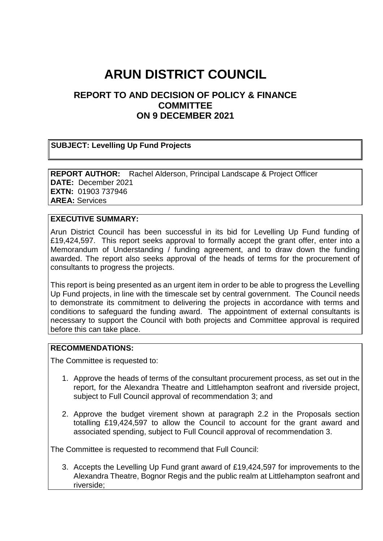# **ARUN DISTRICT COUNCIL**

# **REPORT TO AND DECISION OF POLICY & FINANCE COMMITTEE ON 9 DECEMBER 2021**

## **SUBJECT: Levelling Up Fund Projects**

**REPORT AUTHOR:** Rachel Alderson, Principal Landscape & Project Officer **DATE:** December 2021 **EXTN:** 01903 737946 **AREA:** Services

#### **EXECUTIVE SUMMARY:**

Arun District Council has been successful in its bid for Levelling Up Fund funding of £19,424,597. This report seeks approval to formally accept the grant offer, enter into a Memorandum of Understanding / funding agreement, and to draw down the funding awarded. The report also seeks approval of the heads of terms for the procurement of consultants to progress the projects.

This report is being presented as an urgent item in order to be able to progress the Levelling Up Fund projects, in line with the timescale set by central government. The Council needs to demonstrate its commitment to delivering the projects in accordance with terms and conditions to safeguard the funding award. The appointment of external consultants is necessary to support the Council with both projects and Committee approval is required before this can take place.

### **RECOMMENDATIONS:**

The Committee is requested to:

- 1. Approve the heads of terms of the consultant procurement process, as set out in the report, for the Alexandra Theatre and Littlehampton seafront and riverside project, subject to Full Council approval of recommendation 3; and
- 2. Approve the budget virement shown at paragraph 2.2 in the Proposals section totalling £19,424,597 to allow the Council to account for the grant award and associated spending, subject to Full Council approval of recommendation 3.

The Committee is requested to recommend that Full Council:

3. Accepts the Levelling Up Fund grant award of £19,424,597 for improvements to the Alexandra Theatre, Bognor Regis and the public realm at Littlehampton seafront and riverside;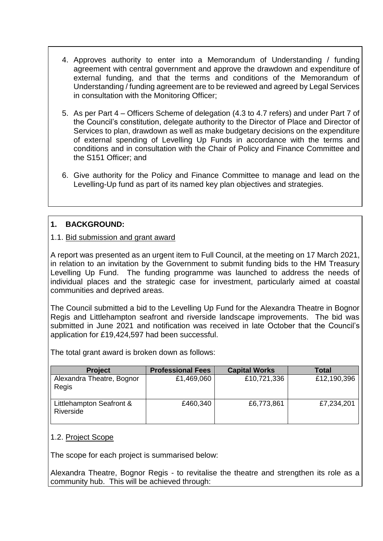- 4. Approves authority to enter into a Memorandum of Understanding / funding agreement with central government and approve the drawdown and expenditure of external funding, and that the terms and conditions of the Memorandum of Understanding / funding agreement are to be reviewed and agreed by Legal Services in consultation with the Monitoring Officer;
- 5. As per Part 4 Officers Scheme of delegation (4.3 to 4.7 refers) and under Part 7 of the Council's constitution, delegate authority to the Director of Place and Director of Services to plan, drawdown as well as make budgetary decisions on the expenditure of external spending of Levelling Up Funds in accordance with the terms and conditions and in consultation with the Chair of Policy and Finance Committee and the S151 Officer; and
- 6. Give authority for the Policy and Finance Committee to manage and lead on the Levelling-Up fund as part of its named key plan objectives and strategies.

# **1. BACKGROUND:**

## 1.1. Bid submission and grant award

A report was presented as an urgent item to Full Council, at the meeting on 17 March 2021, in relation to an invitation by the Government to submit funding bids to the HM Treasury Levelling Up Fund. The funding programme was launched to address the needs of individual places and the strategic case for investment, particularly aimed at coastal communities and deprived areas.

The Council submitted a bid to the Levelling Up Fund for the Alexandra Theatre in Bognor Regis and Littlehampton seafront and riverside landscape improvements. The bid was submitted in June 2021 and notification was received in late October that the Council's application for £19,424,597 had been successful.

The total grant award is broken down as follows:

| <b>Project</b>                        | <b>Professional Fees</b> | <b>Capital Works</b> | Total       |
|---------------------------------------|--------------------------|----------------------|-------------|
| Alexandra Theatre, Bognor<br>Regis    | £1,469,060               | £10,721,336          | £12,190,396 |
| Littlehampton Seafront &<br>Riverside | £460,340                 | £6,773,861           | £7,234,201  |

### 1.2. Project Scope

The scope for each project is summarised below:

Alexandra Theatre, Bognor Regis - to revitalise the theatre and strengthen its role as a community hub. This will be achieved through: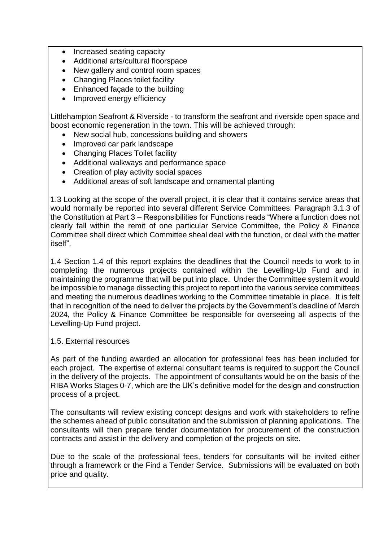- Increased seating capacity
- Additional arts/cultural floorspace
- New gallery and control room spaces
- Changing Places toilet facility
- Enhanced facade to the building
- Improved energy efficiency

Littlehampton Seafront & Riverside - to transform the seafront and riverside open space and boost economic regeneration in the town. This will be achieved through:

- New social hub, concessions building and showers
- Improved car park landscape
- Changing Places Toilet facility
- Additional walkways and performance space
- Creation of play activity social spaces
- Additional areas of soft landscape and ornamental planting

1.3 Looking at the scope of the overall project, it is clear that it contains service areas that would normally be reported into several different Service Committees. Paragraph 3.1.3 of the Constitution at Part 3 – Responsibilities for Functions reads "Where a function does not clearly fall within the remit of one particular Service Committee, the Policy & Finance Committee shall direct which Committee sheal deal with the function, or deal with the matter itself".

1.4 Section 1.4 of this report explains the deadlines that the Council needs to work to in completing the numerous projects contained within the Levelling-Up Fund and in maintaining the programme that will be put into place. Under the Committee system it would be impossible to manage dissecting this project to report into the various service committees and meeting the numerous deadlines working to the Committee timetable in place. It is felt that in recognition of the need to deliver the projects by the Government's deadline of March 2024, the Policy & Finance Committee be responsible for overseeing all aspects of the Levelling-Up Fund project.

### 1.5. External resources

As part of the funding awarded an allocation for professional fees has been included for each project. The expertise of external consultant teams is required to support the Council in the delivery of the projects. The appointment of consultants would be on the basis of the RIBA Works Stages 0-7, which are the UK's definitive model for the design and construction process of a project.

The consultants will review existing concept designs and work with stakeholders to refine the schemes ahead of public consultation and the submission of planning applications. The consultants will then prepare tender documentation for procurement of the construction contracts and assist in the delivery and completion of the projects on site.

Due to the scale of the professional fees, tenders for consultants will be invited either through a framework or the Find a Tender Service. Submissions will be evaluated on both price and quality.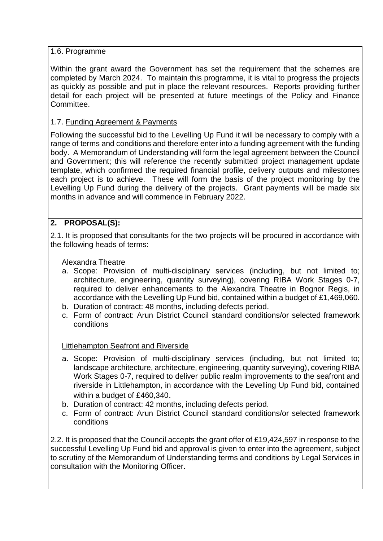## 1.6. Programme

Within the grant award the Government has set the requirement that the schemes are completed by March 2024. To maintain this programme, it is vital to progress the projects as quickly as possible and put in place the relevant resources. Reports providing further detail for each project will be presented at future meetings of the Policy and Finance Committee.

# 1.7. Funding Agreement & Payments

Following the successful bid to the Levelling Up Fund it will be necessary to comply with a range of terms and conditions and therefore enter into a funding agreement with the funding body. A Memorandum of Understanding will form the legal agreement between the Council and Government; this will reference the recently submitted project management update template, which confirmed the required financial profile, delivery outputs and milestones each project is to achieve. These will form the basis of the project monitoring by the Levelling Up Fund during the delivery of the projects. Grant payments will be made six months in advance and will commence in February 2022.

# **2. PROPOSAL(S):**

2.1. It is proposed that consultants for the two projects will be procured in accordance with the following heads of terms:

### Alexandra Theatre

- a. Scope: Provision of multi-disciplinary services (including, but not limited to; architecture, engineering, quantity surveying), covering RIBA Work Stages 0-7, required to deliver enhancements to the Alexandra Theatre in Bognor Regis, in accordance with the Levelling Up Fund bid, contained within a budget of £1,469,060.
- b. Duration of contract: 48 months, including defects period.
- c. Form of contract: Arun District Council standard conditions/or selected framework conditions

### Littlehampton Seafront and Riverside

- a. Scope: Provision of multi-disciplinary services (including, but not limited to; landscape architecture, architecture, engineering, quantity surveying), covering RIBA Work Stages 0-7, required to deliver public realm improvements to the seafront and riverside in Littlehampton, in accordance with the Levelling Up Fund bid, contained within a budget of £460,340.
- b. Duration of contract: 42 months, including defects period.
- c. Form of contract: Arun District Council standard conditions/or selected framework conditions

2.2. It is proposed that the Council accepts the grant offer of £19,424,597 in response to the successful Levelling Up Fund bid and approval is given to enter into the agreement, subject to scrutiny of the Memorandum of Understanding terms and conditions by Legal Services in consultation with the Monitoring Officer.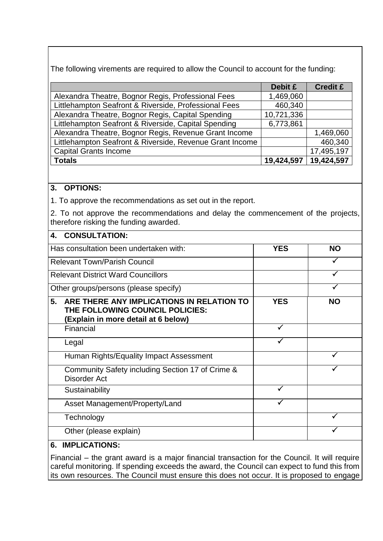The following virements are required to allow the Council to account for the funding:

|                                                          | Debit £    | <b>Credit £</b> |
|----------------------------------------------------------|------------|-----------------|
| Alexandra Theatre, Bognor Regis, Professional Fees       | 1,469,060  |                 |
| Littlehampton Seafront & Riverside, Professional Fees    | 460,340    |                 |
| Alexandra Theatre, Bognor Regis, Capital Spending        | 10,721,336 |                 |
| Littlehampton Seafront & Riverside, Capital Spending     | 6,773,861  |                 |
| Alexandra Theatre, Bognor Regis, Revenue Grant Income    |            | 1,469,060       |
| Littlehampton Seafront & Riverside, Revenue Grant Income |            | 460,340         |
| <b>Capital Grants Income</b>                             |            | 17,495,197      |
| <b>Totals</b>                                            | 19,424,597 | 19,424,597      |

## **3. OPTIONS:**

1. To approve the recommendations as set out in the report.

2. To not approve the recommendations and delay the commencement of the projects, therefore risking the funding awarded.

| <b>CONSULTATION:</b><br>4.                                                                                                |              |           |
|---------------------------------------------------------------------------------------------------------------------------|--------------|-----------|
| Has consultation been undertaken with:                                                                                    | <b>YES</b>   | <b>NO</b> |
| <b>Relevant Town/Parish Council</b>                                                                                       |              |           |
| <b>Relevant District Ward Councillors</b>                                                                                 |              |           |
| Other groups/persons (please specify)                                                                                     |              |           |
| ARE THERE ANY IMPLICATIONS IN RELATION TO<br>5.<br>THE FOLLOWING COUNCIL POLICIES:<br>(Explain in more detail at 6 below) | <b>YES</b>   | <b>NO</b> |
| Financial                                                                                                                 | $\checkmark$ |           |
| Legal                                                                                                                     |              |           |
| Human Rights/Equality Impact Assessment                                                                                   |              |           |
| Community Safety including Section 17 of Crime &<br><b>Disorder Act</b>                                                   |              |           |
| Sustainability                                                                                                            |              |           |
| Asset Management/Property/Land                                                                                            |              |           |
| Technology                                                                                                                |              |           |
| Other (please explain)                                                                                                    |              |           |
| HIDI IALTIALI                                                                                                             |              |           |

## **6. IMPLICATIONS:**

Financial – the grant award is a major financial transaction for the Council. It will require careful monitoring. If spending exceeds the award, the Council can expect to fund this from its own resources. The Council must ensure this does not occur. It is proposed to engage